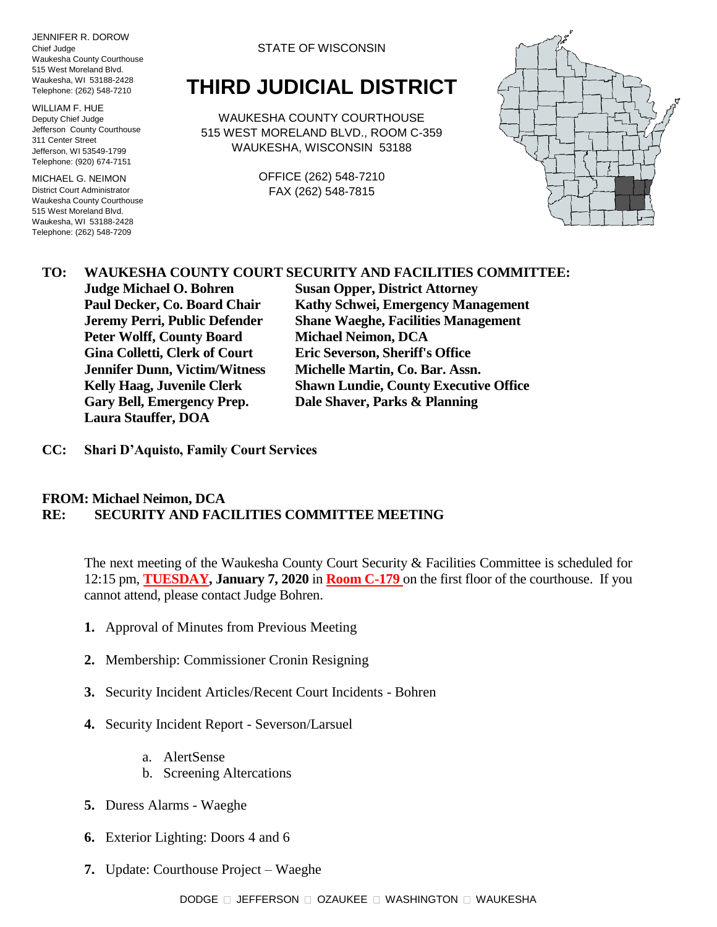JENNIFER R. DOROW Chief Judge Waukesha County Courthouse 515 West Moreland Blvd. Waukesha, WI 53188-2428 Telephone: (262) 548-7210

WILLIAM F. HUE Deputy Chief Judge Jefferson County Courthouse 311 Center Street Jefferson, WI 53549-1799 Telephone: (920) 674-7151

MICHAEL G. NEIMON District Court Administrator Waukesha County Courthouse 515 West Moreland Blvd. Waukesha, WI 53188-2428 Telephone: (262) 548-7209

STATE OF WISCONSIN

## **THIRD JUDICIAL DISTRICT**

WAUKESHA COUNTY COURTHOUSE 515 WEST MORELAND BLVD., ROOM C-359 WAUKESHA, WISCONSIN 53188

> OFFICE (262) 548-7210 FAX (262) 548-7815



## **TO: WAUKESHA COUNTY COURT SECURITY AND FACILITIES COMMITTEE:**

**Peter Wolff, County Board Michael Neimon, DCA Gina Colletti, Clerk of Court Eric Severson, Sheriff's Office Jennifer Dunn, Victim/Witness Michelle Martin, Co. Bar. Assn. Gary Bell, Emergency Prep. Dale Shaver, Parks & Planning Laura Stauffer, DOA**

**Judge Michael O. Bohren Susan Opper, District Attorney Paul Decker, Co. Board Chair Kathy Schwei, Emergency Management Jeremy Perri, Public Defender Shane Waeghe, Facilities Management Kelly Haag, Juvenile Clerk Shawn Lundie, County Executive Office**

**CC: Shari D'Aquisto, Family Court Services**

## **FROM: Michael Neimon, DCA RE: SECURITY AND FACILITIES COMMITTEE MEETING**

The next meeting of the Waukesha County Court Security & Facilities Committee is scheduled for 12:15 pm, **TUESDAY, January 7, 2020** in **Room C-179** on the first floor of the courthouse. If you cannot attend, please contact Judge Bohren.

- **1.** Approval of Minutes from Previous Meeting
- **2.** Membership: Commissioner Cronin Resigning
- **3.** Security Incident Articles/Recent Court Incidents Bohren
- **4.** Security Incident Report Severson/Larsuel
	- a. AlertSense
	- b. Screening Altercations
- **5.** Duress Alarms Waeghe
- **6.** Exterior Lighting: Doors 4 and 6
- **7.** Update: Courthouse Project Waeghe